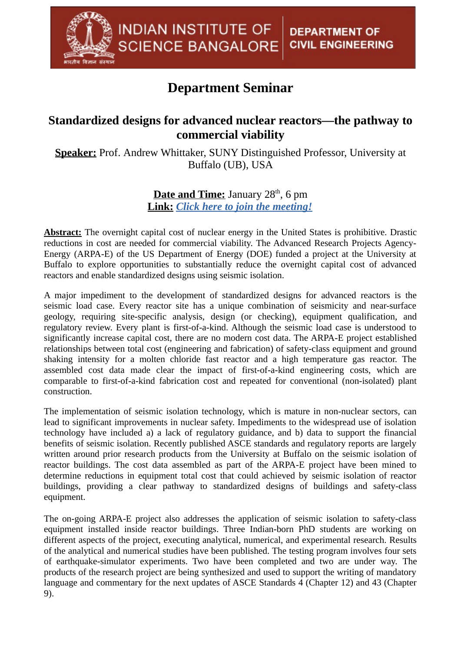## **Department Seminar**

**INDIAN INSTITUTE OF** 

**SCIENCE BANGALORE** 

## **Standardized designs for advanced nuclear reactors—the pathway to commercial viability**

**Speaker:** Prof. Andrew Whittaker, SUNY Distinguished Professor, University at Buffalo (UB), USA

> **Date and Time:** January 28 th , 6 pm **Link:** *[Click here to join the meeting!](https://teams.microsoft.com/l/meetup-join/19%3Ameeting_OTFkZjQyMGUtMTBmNS00MjE3LWFjOTQtNjBmOWIxNGNjMzZk@thread.v2/0?context=%7B%22Tid%22%3A%226f15cd97-f6a7-41e3-b2c5-ad4193976476%22%2C%22Oid%22%3A%22e4c94d16-59f7-4d89-832c-e948c88ec535%22%7D)*

**Abstract:** The overnight capital cost of nuclear energy in the United States is prohibitive. Drastic reductions in cost are needed for commercial viability. The Advanced Research Projects Agency-Energy (ARPA-E) of the US Department of Energy (DOE) funded a project at the University at Buffalo to explore opportunities to substantially reduce the overnight capital cost of advanced reactors and enable standardized designs using seismic isolation.

A major impediment to the development of standardized designs for advanced reactors is the seismic load case. Every reactor site has a unique combination of seismicity and near-surface geology, requiring site-specific analysis, design (or checking), equipment qualification, and regulatory review. Every plant is first-of-a-kind. Although the seismic load case is understood to significantly increase capital cost, there are no modern cost data. The ARPA-E project established relationships between total cost (engineering and fabrication) of safety-class equipment and ground shaking intensity for a molten chloride fast reactor and a high temperature gas reactor. The assembled cost data made clear the impact of first-of-a-kind engineering costs, which are comparable to first-of-a-kind fabrication cost and repeated for conventional (non-isolated) plant construction.

The implementation of seismic isolation technology, which is mature in non-nuclear sectors, can lead to significant improvements in nuclear safety. Impediments to the widespread use of isolation technology have included a) a lack of regulatory guidance, and b) data to support the financial benefits of seismic isolation. Recently published ASCE standards and regulatory reports are largely written around prior research products from the University at Buffalo on the seismic isolation of reactor buildings. The cost data assembled as part of the ARPA-E project have been mined to determine reductions in equipment total cost that could achieved by seismic isolation of reactor buildings, providing a clear pathway to standardized designs of buildings and safety-class equipment.

The on-going ARPA-E project also addresses the application of seismic isolation to safety-class equipment installed inside reactor buildings. Three Indian-born PhD students are working on different aspects of the project, executing analytical, numerical, and experimental research. Results of the analytical and numerical studies have been published. The testing program involves four sets of earthquake-simulator experiments. Two have been completed and two are under way. The products of the research project are being synthesized and used to support the writing of mandatory language and commentary for the next updates of ASCE Standards 4 (Chapter 12) and 43 (Chapter 9).